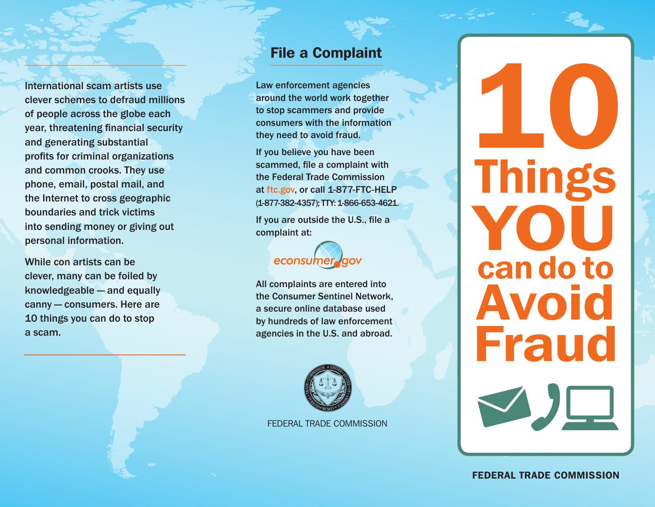International scam artists use clever schemes to defraud millions of people across the globe each year, threatening financial security and generating substantial profits for criminal organizations and common crooks. They use phone, email, postal mail, and the Internet to cross geographic boundaries and trick victims into sending money or giving out personal information.

While con artists can be clever, many can be foiled by knowledgeable — and equally canny — consumers. Here are 10 things you can do to stop a scam.

## File a Complaint

Law enforcement agencies around the world work together to stop scammers and provide consumers with the information they need to avoid fraud.

If you believe you have been scammed, file a complaint with the Federal Trade Commission at ftc.gov, or call 1-877-FTC-HELP (1-877-382-4357); TTY: 1-866-653-4621.

If you are outside the U.S., file a complaint at:

## econsumer

All complaints are entered into the Consumer Sentinel Network, a secure online database used by hundreds of law enforcement agencies in the U.S. and abroad.



FEDERAL TRADE COMMISSION

## Things YOI can do to Avoid Fraud 10

FEDERAL TRADE COMMISSION